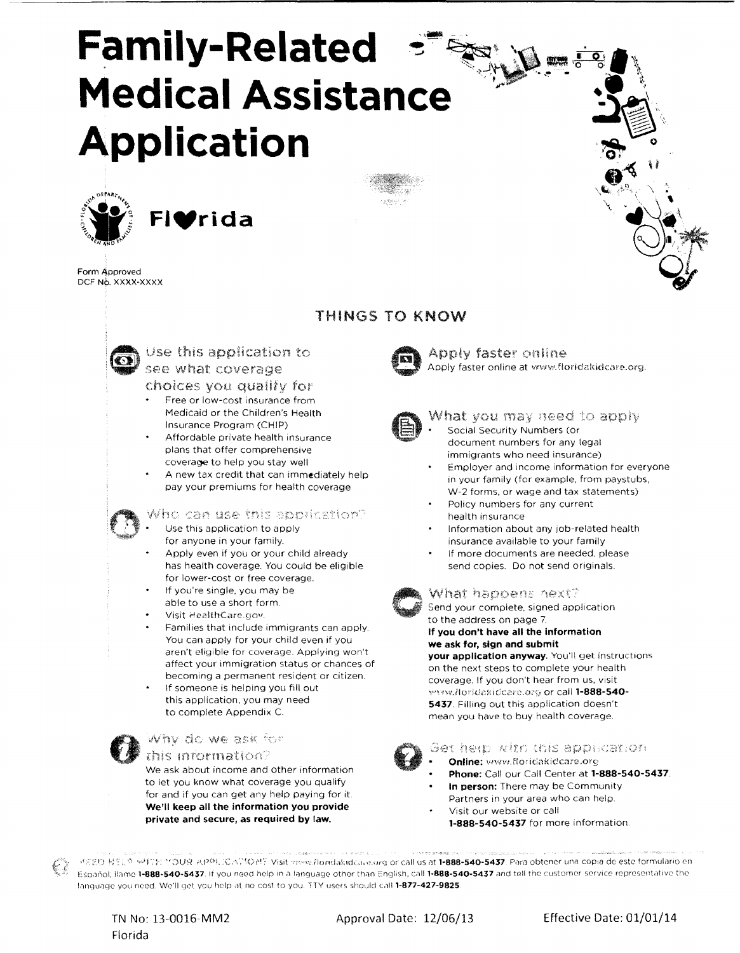# **Family-Related Medical Assistance Application**



**FIVrida** 

Form Approved DCF No. XXXX-XXXX

# THINGS TO KNOW



## Use this application to see what coverage

choices you qualify for

- Free or low-cost insurance from Medicaid or the Children's Health Insurance Program (CHIP)
- Affordable private health insurance plans that offer comprehensive coverage to help you stay well
- A new tax credit that can immediately help pay your premiums for health coverage

## 'ho can use this application?

- Use this application to apply
- for anyone in your family. Apply even if you or your child already has health coverage. You could be eligible
- for lower-cost or free coverage. If you're single, you may be
- able to use a short form. Visit HealthCare.gov.
- Families that include immigrants can apply. You can apply for your child even if you aren't eligible for coverage. Applying won't affect your immigration status or chances of becoming a permanent resident or citizen.
- If someone is helping you fill out this application, you may need to complete Appendix C.

## Why do we ask for

this information? We ask about income and other information to let you know what coverage you qualify for and if you can get any help paying for it. We'll keep all the information you provide private and secure, as required by law.



Apply faster online Apply faster online at www.floridakidcare.org.



## What you may need to apply

- Social Security Numbers (or document numbers for any legal immigrants who need insurance) Employer and income information for everyone
- in your family (for example, from paystubs, W-2 forms, or wage and tax statements)
- Policy numbers for any current health insurance
- Information about any job-related health insurance available to your family
- If more documents are needed, please send copies. Do not send originals.

## What happens hext?

Send your complete, signed application to the address on page 7.

If you don't have all the information we ask for, sign and submit

your application anyway. You'll get instructions on the next steps to complete your health coverage. If you don't hear from us, visit ~"""•'1.llo:·if;Didc!c,ci'(:.o:'j or call 1-888·540- 5437. Filling out this application doesn't mean you have to buy health coverage.

## Get help with this apprication

- - **Online:** www.floridakidcare.org Phone: Call our Call Center at 1-888-540-5437.
	- In person: There may be Community
	- Partners in your area who can help. Visit our website or call
		- 1·888-540-5437 for more information.

LISED HELP WITH MOUR APPLICATIONE Visit www.flondakidcare.org or call us at 1-888-540-5437. Para obtener una copia de este formulario en Español, llame 1-888-540-5437. If you need help in a language other than English, call 1-888-540-5437 and tell the customer service representative the language you need. We'll get you help at no cost to you. TTY users should call 1-877-427-9825.

TN No: 13-0016-MM2 Florida

Approval Date: 12/06/13 Effective Date: 01/01/14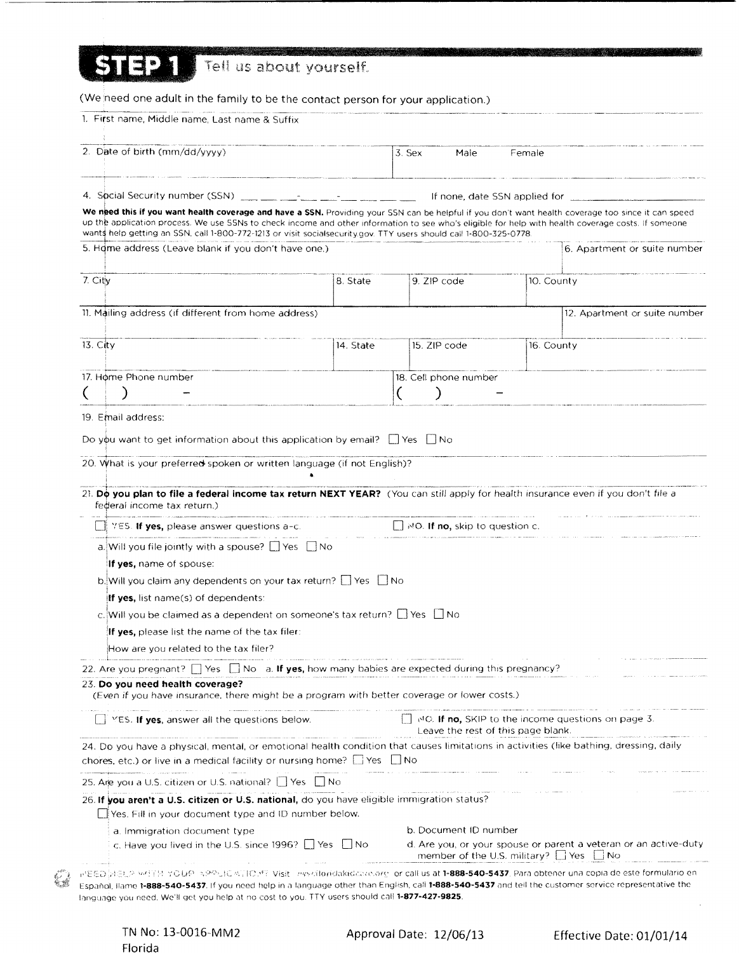| Tell us about yourself.                                                                                                                                                                                                                                                                                                                                                                                          |           |                                       |                       |                                                   |                                                                  |
|------------------------------------------------------------------------------------------------------------------------------------------------------------------------------------------------------------------------------------------------------------------------------------------------------------------------------------------------------------------------------------------------------------------|-----------|---------------------------------------|-----------------------|---------------------------------------------------|------------------------------------------------------------------|
|                                                                                                                                                                                                                                                                                                                                                                                                                  |           |                                       |                       |                                                   |                                                                  |
| (We need one adult in the family to be the contact person for your application.)                                                                                                                                                                                                                                                                                                                                 |           |                                       |                       |                                                   |                                                                  |
| 1. First name, Middle name, Last name & Suffix                                                                                                                                                                                                                                                                                                                                                                   |           |                                       |                       |                                                   |                                                                  |
| 2. Date of birth (mm/dd/yyyy)                                                                                                                                                                                                                                                                                                                                                                                    |           | 3. Sex                                | Male                  | Female                                            |                                                                  |
|                                                                                                                                                                                                                                                                                                                                                                                                                  |           |                                       |                       |                                                   |                                                                  |
| 4. Spcial Security number (SSN) $\frac{1}{2}$ $\frac{1}{2}$ $\frac{1}{2}$ $\frac{1}{2}$ $\frac{1}{2}$ $\frac{1}{2}$ $\frac{1}{2}$ $\frac{1}{2}$ $\frac{1}{2}$ $\frac{1}{2}$ $\frac{1}{2}$ $\frac{1}{2}$ $\frac{1}{2}$ $\frac{1}{2}$ $\frac{1}{2}$ $\frac{1}{2}$ $\frac{1}{2}$ $\frac{1}{2}$ $\frac{1}{2}$                                                                                                        |           |                                       |                       |                                                   |                                                                  |
| We need this if you want health coverage and have a SSN. Providing your SSN can be helpful if you don't want health coverage too since it can speed<br>up the application process. We use SSNs to check income and other information to see who's eligible for help with health coverage costs. If someone                                                                                                       |           |                                       |                       |                                                   | If none, date SSN applied for                                    |
| wants help getting an SSN, call 1-800-772-1213 or visit socialsecurity.gov. TTY users should call 1-800-325-0778.<br>5. Home address (Leave blank if you don't have one.)                                                                                                                                                                                                                                        |           |                                       |                       |                                                   | 6. Apartment or suite number                                     |
| 7. City                                                                                                                                                                                                                                                                                                                                                                                                          |           |                                       |                       |                                                   |                                                                  |
|                                                                                                                                                                                                                                                                                                                                                                                                                  | 8. State  | 9. ZIP code                           |                       | 10. County                                        |                                                                  |
| 11. Mailing address (if different from home address)                                                                                                                                                                                                                                                                                                                                                             |           |                                       |                       |                                                   | 12. Apartment or suite number                                    |
| 13. City                                                                                                                                                                                                                                                                                                                                                                                                         | 14. State | 15. ZIP code                          |                       | 16. County                                        |                                                                  |
| 17. Home Phone number                                                                                                                                                                                                                                                                                                                                                                                            |           |                                       | 18. Cell phone number |                                                   |                                                                  |
|                                                                                                                                                                                                                                                                                                                                                                                                                  |           |                                       |                       |                                                   |                                                                  |
|                                                                                                                                                                                                                                                                                                                                                                                                                  |           |                                       |                       |                                                   |                                                                  |
| 19. Email address:                                                                                                                                                                                                                                                                                                                                                                                               |           |                                       |                       |                                                   |                                                                  |
| Do you want to get information about this application by email? $\Box$ Yes $\Box$ No                                                                                                                                                                                                                                                                                                                             |           |                                       |                       |                                                   |                                                                  |
| 20. What is your preferred spoken or written language (if not English)?                                                                                                                                                                                                                                                                                                                                          |           |                                       |                       |                                                   |                                                                  |
|                                                                                                                                                                                                                                                                                                                                                                                                                  |           |                                       |                       |                                                   |                                                                  |
| 21. Do you plan to file a federal income tax return NEXT YEAR? (You can still apply for health insurance even if you don't file a<br>federal income tax return.)                                                                                                                                                                                                                                                 |           |                                       |                       |                                                   |                                                                  |
| YES. If yes, please answer questions a-c.                                                                                                                                                                                                                                                                                                                                                                        |           | $\Box$ MO. If no, skip to question c. |                       |                                                   |                                                                  |
| a. Will you file jointly with a spouse? $\Box$ Yes $\Box$ No                                                                                                                                                                                                                                                                                                                                                     |           |                                       |                       |                                                   |                                                                  |
| <b>If yes, name of spouse:</b>                                                                                                                                                                                                                                                                                                                                                                                   |           |                                       |                       |                                                   |                                                                  |
| b. Will you claim any dependents on your tax return? □ Yes □ No                                                                                                                                                                                                                                                                                                                                                  |           |                                       |                       |                                                   |                                                                  |
| <b>If yes,</b> list name(s) of dependents:                                                                                                                                                                                                                                                                                                                                                                       |           |                                       |                       |                                                   |                                                                  |
| c. Will you be claimed as a dependent on someone's tax return? $\Box$ Yes $\Box$ No                                                                                                                                                                                                                                                                                                                              |           |                                       |                       |                                                   |                                                                  |
| If yes, please list the name of the tax filer:                                                                                                                                                                                                                                                                                                                                                                   |           |                                       |                       |                                                   |                                                                  |
| How are you related to the tax filer?                                                                                                                                                                                                                                                                                                                                                                            |           |                                       |                       |                                                   |                                                                  |
| 22. Are you pregnant? $\Box$ Yes $\Box$ No a. If yes, how many babies are expected during this pregnancy?                                                                                                                                                                                                                                                                                                        |           |                                       |                       |                                                   |                                                                  |
| 23. Do you need health coverage?<br>(Even if you have insurance, there might be a program with better coverage or lower costs.)                                                                                                                                                                                                                                                                                  |           |                                       |                       |                                                   |                                                                  |
| $\Box$ YES. If yes, answer all the questions below.                                                                                                                                                                                                                                                                                                                                                              |           |                                       |                       | Leave the rest of this page blank.                | $\Box$ et C. If no, SKIP to the income questions on page 3.      |
| 24. Do you have a physical, mental, or emotional health condition that causes limitations in activities (like bathing, dressing, daily<br>chores, etc.) or live in a medical facility or nursing home? $\Box$ Yes $\Box$ No                                                                                                                                                                                      |           |                                       |                       |                                                   |                                                                  |
| 25. Are you a U.S. citizen or U.S. national?     Yes     No                                                                                                                                                                                                                                                                                                                                                      |           |                                       |                       |                                                   |                                                                  |
| 26. If you aren't a U.S. citizen or U.S. national, do you have eligible immigration status?                                                                                                                                                                                                                                                                                                                      |           |                                       |                       |                                                   |                                                                  |
| Yes. Fill in your document type and ID number below.                                                                                                                                                                                                                                                                                                                                                             |           |                                       |                       |                                                   |                                                                  |
| a. Immigration document type                                                                                                                                                                                                                                                                                                                                                                                     |           |                                       | b. Document ID number |                                                   |                                                                  |
| c. Have you lived in the U.S. since 1996? $\Box$ Yes $\Box$ No                                                                                                                                                                                                                                                                                                                                                   |           |                                       |                       | member of the U.S. military? $\Box$ Yes $\Box$ No | d. Are you, or your spouse or parent a veteran or an active-duty |
| 군운증을 물용도운 포르몬봉 우승되어 녹오오클(승폭)(To,PP-Visit - exsectoridakiddaxe.org- or call us at <b>1-888-540-5437</b> , Para obtener una copia de este formulario en<br>Español, Bame 1-888-540-5437. If you need help in a language other than English, call 1-888-540-5437 and tell the customer service representative the<br>language you need. We'll get you help at no cost to you. TTY users should call 1-877-427-9825. |           |                                       |                       |                                                   |                                                                  |

|         | TN No: 13-0016-MM2 |
|---------|--------------------|
| Florida |                    |

 $\zeta_{\pm}^{\prime}$ 

Approval Date: 12/06/13 Effective Date: 01/01/14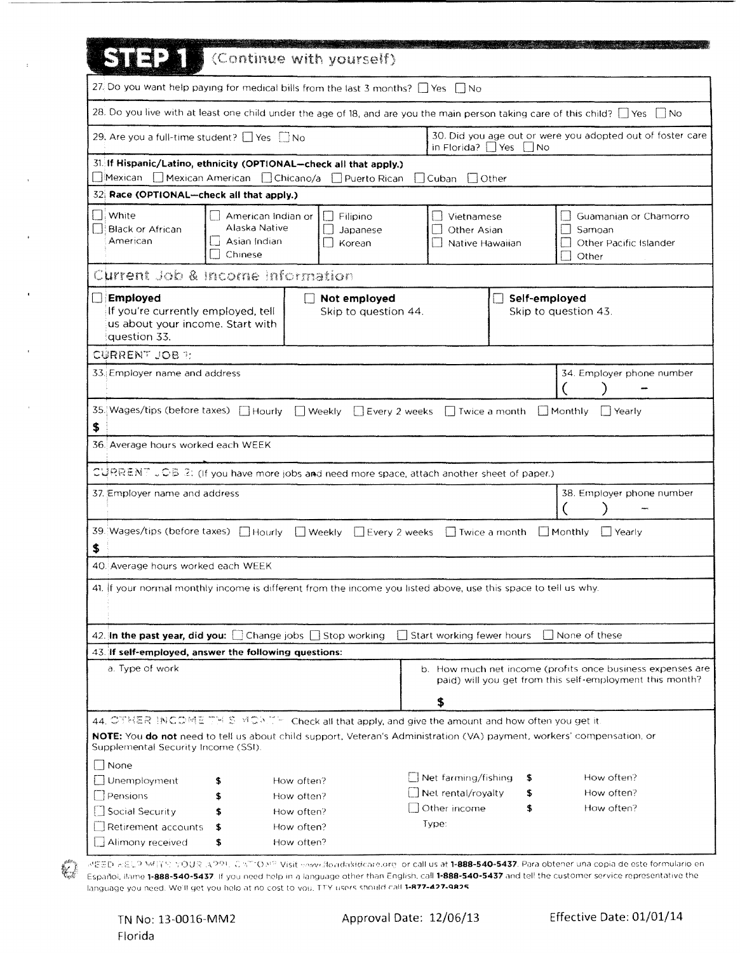| <b>STEXE</b>                                                                                                                                                                                                                                                     |                                                                | Continue with yourself)              |                                              |                                  |                                                                                                                                                       |
|------------------------------------------------------------------------------------------------------------------------------------------------------------------------------------------------------------------------------------------------------------------|----------------------------------------------------------------|--------------------------------------|----------------------------------------------|----------------------------------|-------------------------------------------------------------------------------------------------------------------------------------------------------|
| 27. Do you want help paying for medical bills from the last 3 months? $\Box$ Yes $\Box$ No                                                                                                                                                                       |                                                                |                                      |                                              |                                  |                                                                                                                                                       |
|                                                                                                                                                                                                                                                                  |                                                                |                                      |                                              |                                  | 28. Do you live with at least one child under the age of 18, and are you the main person taking care of this child? [ Yes [ No                        |
| 29. Are you a full-time student? ■ Yes ■ No                                                                                                                                                                                                                      |                                                                |                                      |                                              | in Florida? $\Box$ Yes $\Box$ No | 30. Did you age out or were you adopted out of foster care                                                                                            |
| 31. If Hispanic/Latino, ethnicity (OPTIONAL--check all that apply.)                                                                                                                                                                                              |                                                                |                                      |                                              |                                  |                                                                                                                                                       |
| □Mexican □ Mexican American □ Chicano/a □ Puerto Rican                                                                                                                                                                                                           |                                                                |                                      | $\Box$ Cuban $\Box$ Other                    |                                  |                                                                                                                                                       |
| 32 Race (OPTIONAL-check all that apply.)                                                                                                                                                                                                                         |                                                                |                                      |                                              |                                  |                                                                                                                                                       |
| <b>White</b><br><b>Black or African</b><br>American                                                                                                                                                                                                              | American Indian or<br>Alaska Native<br>Asian Indian<br>Chinese | Filipino<br>Japanese<br>Korean       | Vietnamese<br>Other Asian<br>Native Hawaiian |                                  | Guamanian or Chamorro<br>Samoan<br>Other Pacific Islander<br>Other                                                                                    |
| Current Job & Income Information                                                                                                                                                                                                                                 |                                                                |                                      |                                              |                                  |                                                                                                                                                       |
| Employed<br>If you're currently employed, tell<br>us about your income. Start with<br>question 33.                                                                                                                                                               |                                                                | Not employed<br>Skip to question 44. |                                              | Self-employed                    | Skip to question 43.                                                                                                                                  |
| <b>CURRENT JOB 7:</b>                                                                                                                                                                                                                                            |                                                                |                                      |                                              |                                  |                                                                                                                                                       |
| 33. Employer name and address                                                                                                                                                                                                                                    |                                                                |                                      |                                              |                                  | 34. Employer phone number                                                                                                                             |
| 35. Wages/tips (before taxes)   Hourly   Weekly   Every 2 weeks   Twice a month   Monthly<br>\$<br>36. Average hours worked each WEEK                                                                                                                            |                                                                |                                      |                                              |                                  | l 1 Yearly                                                                                                                                            |
| CURRENT JOB 2: (If you have more jobs and need more space, attach another sheet of paper.)                                                                                                                                                                       |                                                                |                                      |                                              |                                  |                                                                                                                                                       |
| 37. Employer name and address                                                                                                                                                                                                                                    |                                                                |                                      |                                              |                                  | 38. Employer phone number                                                                                                                             |
| 39. Wages/tips (before taxes) [ Hourly [   Weekly   Every 2 weeks   Twice a month   Monthly<br>\$                                                                                                                                                                |                                                                |                                      |                                              |                                  | Yearly                                                                                                                                                |
| 40. Average hours worked each WEEK                                                                                                                                                                                                                               |                                                                |                                      |                                              |                                  |                                                                                                                                                       |
| 41. If your normal monthly income is different from the income you listed above, use this space to tell us why.                                                                                                                                                  |                                                                |                                      |                                              |                                  |                                                                                                                                                       |
| 42. In the past year, did you: $\Box$ Change jobs $\Box$ Stop working                                                                                                                                                                                            |                                                                |                                      | Start working fewer hours                    |                                  | None of these                                                                                                                                         |
| 43. If self-employed, answer the following questions:                                                                                                                                                                                                            |                                                                |                                      |                                              |                                  |                                                                                                                                                       |
| a. Type of work                                                                                                                                                                                                                                                  |                                                                |                                      | \$                                           |                                  | b. How much net income (profits once business expenses are<br>paid) will you get from this self-employment this month?                                |
| 44. OTHER INCOMETHIS MONTHI Check all that apply, and give the amount and how often you get it.<br>NOTE: You do not need to tell us about child support, Veteran's Administration (VA) payment, workers' compensation, or<br>Supplemental Security Income (SSI). |                                                                |                                      |                                              |                                  |                                                                                                                                                       |
| None                                                                                                                                                                                                                                                             |                                                                |                                      | Net farming/fishing                          | s                                | How often?                                                                                                                                            |
| Unemployment<br>Pensions                                                                                                                                                                                                                                         | \$<br>\$                                                       | How often?<br>How often?             | $\Box$ Net rental/royalty                    |                                  | How often?                                                                                                                                            |
| Social Security                                                                                                                                                                                                                                                  | \$                                                             | How often?                           | Other income                                 | \$                               | How often?                                                                                                                                            |
| Retirement accounts                                                                                                                                                                                                                                              | \$                                                             | How often?                           | Type:                                        |                                  |                                                                                                                                                       |
| Alimony received                                                                                                                                                                                                                                                 | \$                                                             | How often?                           |                                              |                                  |                                                                                                                                                       |
|                                                                                                                                                                                                                                                                  |                                                                |                                      |                                              |                                  | 군물품은 동음일의 M4(全서 우승당)을 계속하는 경우가 'C ATTO APP Misit www.dovideare.org  or call us at <b>1-888-540-5437.</b> Para obtener una copia de este formulario en |

 $\bar{z}$ 

language you need. We'll get you helo at no cost to vou. TTY users should call 1-R77-427-9R25

Espanol, Ilame 1-888-540-5437. If you need help in a language other than English, call 1-888-540-5437 and tell the customer service representative the

 $\mathbb{Z}^I$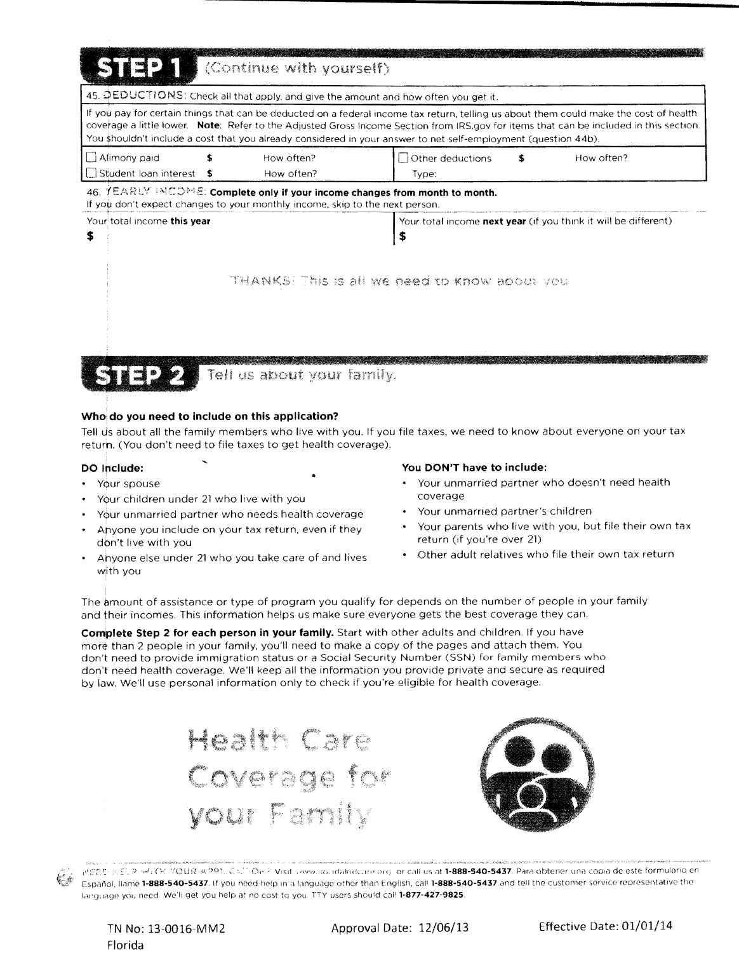| SIEL<br>(Continue with yourself)                                                                                                                                                                                                                         |                                                                                                                                        |  |  |  |  |
|----------------------------------------------------------------------------------------------------------------------------------------------------------------------------------------------------------------------------------------------------------|----------------------------------------------------------------------------------------------------------------------------------------|--|--|--|--|
| 45. DEDUCTIONS: Check all that apply, and give the amount and how often you get it.                                                                                                                                                                      |                                                                                                                                        |  |  |  |  |
| If you pay for certain things that can be deducted on a federal income tax return, telling us about them could make the cost of health<br>You shouldn't include a cost that you already considered in your answer to net self-employment (question 44b). | coverage a little lower. Note: Refer to the Adjusted Gross Income Section from IRS.gov for items that can be included in this section. |  |  |  |  |
| Alimony paid<br>How often?<br>Student Joan interest<br>How often?                                                                                                                                                                                        | Other deductions<br>How often?<br>s<br>Type:                                                                                           |  |  |  |  |
| 46. YEARLY INCOME: Complete only if your income changes from month to month.<br>If you don't expect changes to your monthly income, skip to the next person.                                                                                             |                                                                                                                                        |  |  |  |  |
| Your total income this year<br>\$                                                                                                                                                                                                                        | Your total income <b>next year</b> (if you think it will be different)<br>S                                                            |  |  |  |  |
|                                                                                                                                                                                                                                                          | THANKS: This is all we need to know about you                                                                                          |  |  |  |  |
| Tell us about your family.                                                                                                                                                                                                                               |                                                                                                                                        |  |  |  |  |

#### Who do you need to include on this application?

Tell us about all the family members who live with you. If you file taxes, we need to know about everyone on your tax return. (You don't need to file taxes to get health coverage).

#### DO Include:

- Your spouse
- Your children under 21 who live with you
- Your unmarried partner who needs health coverage
- Anyone you include on your tax return, even if they don't live with you
- Ahyone else under 21 who you take care of and lives with you

#### You DON'T have to include:

- Your unmarried partner who doesn't need health coverage
- Your unmarried partner's children
- Your parents who live with you, but file their own tax return (if you're over 21)
- Other adult relatives who file their own tax return

The amount of assistance or type of program you qualify for depends on the number of people in your family and their incomes. This information helps us make sure everyone gets the best coverage they can.

Complete Step 2 for each person in your family. Start with other adults and children. If you have more than 2 people in your family, you'll need to make a copy of the pages and attach them. You don't need to provide immigration status or a Social Security Number (SSN) for family members who don't need health coverage. We'll keep all the information you provide private and secure as required by law. We'll use personal information only to check if you're eligible for health coverage.



(J) PEER SELP MITS VOUR APRIL CALLOW YOUR wave dondaked care or call us at 1-888-540-5437. Para obtener una copia de este formulario en Español. llame 1-888-540-5437. If you need help in a language other than English, call 1-888-540-5437 and tell the customer service representative the language you need. We'li get you help at no cost to you. TTY users should call 1-877-427-9825.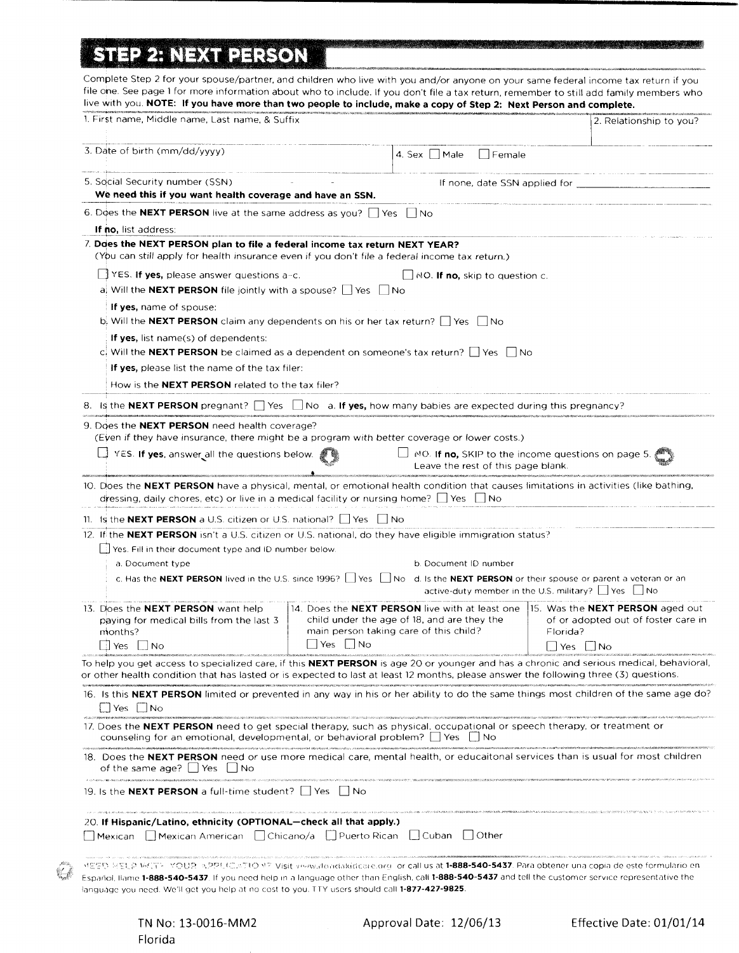# . . **ISTEP 2: NEXT PERSON |**

| Complete Step 2 for your spouse/partner, and children who live with you and/or anyone on your same federal income tax return if you<br>file one. See page 1 for more information about who to include. If you don't file a tax return, remember to still add family members who<br>live with you. NOTE: If you have more than two people to include, make a copy of Step 2: Next Person and complete. |                                                                                                       |                     |                                               |                               |                                                                                                                                 |
|-------------------------------------------------------------------------------------------------------------------------------------------------------------------------------------------------------------------------------------------------------------------------------------------------------------------------------------------------------------------------------------------------------|-------------------------------------------------------------------------------------------------------|---------------------|-----------------------------------------------|-------------------------------|---------------------------------------------------------------------------------------------------------------------------------|
| 1. First name, Middle name, Last name, & Suffix                                                                                                                                                                                                                                                                                                                                                       |                                                                                                       |                     |                                               |                               | 2. Relationship to you?                                                                                                         |
| 3. Date of birth (mm/dd/yyyy)                                                                                                                                                                                                                                                                                                                                                                         |                                                                                                       | 4. Sex $\vert$ Male | Female                                        |                               |                                                                                                                                 |
| 5. Social Security number (SSN)<br>We need this if you want health coverage and have an SSN.                                                                                                                                                                                                                                                                                                          |                                                                                                       |                     |                                               | If none, date SSN applied for |                                                                                                                                 |
| 6. Does the <b>NEXT PERSON</b> live at the same address as you? $\Box$ Yes                                                                                                                                                                                                                                                                                                                            |                                                                                                       | l Ino               |                                               |                               |                                                                                                                                 |
| <b>If no,</b> list address:                                                                                                                                                                                                                                                                                                                                                                           |                                                                                                       |                     |                                               |                               |                                                                                                                                 |
| 7. Does the NEXT PERSON plan to file a federal income tax return NEXT YEAR?<br>(You can still apply for health insurance even if you don't file a federal income tax return.)                                                                                                                                                                                                                         |                                                                                                       |                     |                                               |                               |                                                                                                                                 |
| $\Box$ YES. If yes, please answer questions a-c.                                                                                                                                                                                                                                                                                                                                                      |                                                                                                       |                     | $\perp$ NO. <b>If no,</b> skip to question c. |                               |                                                                                                                                 |
| a. Will the <b>NEXT PERSON</b> file jointly with a spouse? $\Box$ Yes $\Box$ No                                                                                                                                                                                                                                                                                                                       |                                                                                                       |                     |                                               |                               |                                                                                                                                 |
| If yes, name of spouse:                                                                                                                                                                                                                                                                                                                                                                               |                                                                                                       |                     |                                               |                               |                                                                                                                                 |
| b. Will the <b>NEXT PERSON</b> claim any dependents on his or her tax return? $\Box$ Yes $\Box$ No                                                                                                                                                                                                                                                                                                    |                                                                                                       |                     |                                               |                               |                                                                                                                                 |
| <b>If yes,</b> list name(s) of dependents:                                                                                                                                                                                                                                                                                                                                                            |                                                                                                       |                     |                                               |                               |                                                                                                                                 |
| c. Will the <b>NEXT PERSON</b> be claimed as a dependent on someone's tax return? $\Box$ Yes $\Box$ No                                                                                                                                                                                                                                                                                                |                                                                                                       |                     |                                               |                               |                                                                                                                                 |
| If yes, please list the name of the tax filer:                                                                                                                                                                                                                                                                                                                                                        |                                                                                                       |                     |                                               |                               |                                                                                                                                 |
| How is the <b>NEXT PERSON</b> related to the tax filer?                                                                                                                                                                                                                                                                                                                                               |                                                                                                       |                     |                                               |                               |                                                                                                                                 |
| 8. Is the NEXT PERSON pregnant? $\Box$ Yes $\Box$ No a. If yes, how many babies are expected during this pregnancy?                                                                                                                                                                                                                                                                                   |                                                                                                       |                     |                                               |                               |                                                                                                                                 |
| 9. Does the <b>NEXT PERSON</b> need health coverage?                                                                                                                                                                                                                                                                                                                                                  |                                                                                                       |                     |                                               |                               |                                                                                                                                 |
| (Even if they have insurance, there might be a program with better coverage or lower costs.)                                                                                                                                                                                                                                                                                                          |                                                                                                       |                     |                                               |                               |                                                                                                                                 |
| $\Box$ YES. If yes, answer all the questions below.                                                                                                                                                                                                                                                                                                                                                   |                                                                                                       |                     | Leave the rest of this page blank.            |                               | $\Box$ NO. If no, SKIP to the income questions on page 5.                                                                       |
| 10. Does the NEXT PERSON have a physical, mental, or emotional health condition that causes limitations in activities (like bathing,<br>dressing, daily chores, etc) or live in a medical facility or nursing home? $\Box$ Yes $\Box$ No                                                                                                                                                              |                                                                                                       |                     |                                               |                               |                                                                                                                                 |
| 11. Is the <b>NEXT PERSON</b> a U.S. citizen or U.S. national? $\Box$ Yes $\Box$ No                                                                                                                                                                                                                                                                                                                   |                                                                                                       |                     |                                               |                               |                                                                                                                                 |
| 12. If the <b>NEXT PERSON</b> isn't a U.S. citizen or U.S. national, do they have eligible immigration status?                                                                                                                                                                                                                                                                                        |                                                                                                       |                     |                                               |                               |                                                                                                                                 |
| Yes. Fill in their document type and ID number below<br>a. Document type                                                                                                                                                                                                                                                                                                                              |                                                                                                       |                     | b. Document ID number                         |                               |                                                                                                                                 |
| c. Has the NEXT PERSON lived in the U.S. since 1996? Simple 10 No. d. Is the NEXT PERSON or their spouse or parent a veteran or an                                                                                                                                                                                                                                                                    |                                                                                                       |                     |                                               |                               | active-duty member in the U.S. military? $\Box$ Yes $\Box$ No                                                                   |
| 13. Does the <b>NEXT PERSON</b> want help<br>paying for medical bills from the last 3<br>months?<br>∣Yes ∣∣No                                                                                                                                                                                                                                                                                         | child under the age of 18, and are they the<br>main person taking care of this child?<br>   Yes    No |                     |                                               | Florida?<br>Yes               | 14. Does the NEXT PERSON live with at least one  15. Was the NEXT PERSON aged out<br>of or adopted out of foster care in<br>-No |
| To help you get access to specialized care, if this <b>NEXT PERSON</b> is age 20 or younger and has a chronic and serious medical, behavioral,<br>or other health condition that has lasted or is expected to last at least 12 months, please answer the following three (3) questions.                                                                                                               |                                                                                                       |                     |                                               |                               |                                                                                                                                 |
| 16. Is this NEXT PERSON limited or prevented in any way in his or her ability to do the same things most children of the same age do?<br>│ Yes │ No                                                                                                                                                                                                                                                   |                                                                                                       |                     |                                               |                               |                                                                                                                                 |
| 17. Does the NEXT PERSON need to get special therapy, such as physical, occupational or speech therapy, or treatment or<br>counseling for an emotional, developmental, or behavioral problem? $\Box$ Yes $\Box$ No                                                                                                                                                                                    |                                                                                                       |                     |                                               |                               |                                                                                                                                 |
| 18. Does the NEXT PERSON need or use more medical care, mental health, or educaitonal services than is usual for most children<br>of the same age? $ $ $ $ Yes $ $ $ $ No                                                                                                                                                                                                                             |                                                                                                       |                     |                                               |                               |                                                                                                                                 |
| A configuration of the construction of the component of the contemporal component of the basic<br>19. Is the <b>NEXT PERSON</b> a full-time student?     Yes                                                                                                                                                                                                                                          | l INo                                                                                                 |                     |                                               |                               |                                                                                                                                 |
| 20. If Hispanic/Latino, ethnicity (OPTIONAL—check all that apply.)                                                                                                                                                                                                                                                                                                                                    |                                                                                                       |                     |                                               |                               |                                                                                                                                 |
| □ Mexican □ Mexican American □ Chicano/a □ Puerto Rican □ Cuban □ Other                                                                                                                                                                                                                                                                                                                               |                                                                                                       |                     |                                               |                               |                                                                                                                                 |
| 서름도다 유물님의 M/(T)~ 목QUR -ARP토C(LeTtO M? Visit veew.domdakidcare.org -or call us a <b>t 1-888-540-5437</b> . Para obtener una copia de este formulario en<br>Español, llame 1-888-540-5437. If you need help in a language other than English, call 1-888-540-5437 and tell the customer service representative the                                                                                      |                                                                                                       |                     |                                               |                               |                                                                                                                                 |
| language you need. We'll get you help at no cost to you. TTY users should call <b>1-877-427-9825</b> .                                                                                                                                                                                                                                                                                                |                                                                                                       |                     |                                               |                               |                                                                                                                                 |

-----------------------------------------------------

<u> 1940 - Johann Stoff, Amerikaansk politik († 1958)</u>

 $\begin{picture}(20,20) \put(0,0){\line(1,0){15}} \put(15,0){\line(1,0){15}} \put(15,0){\line(1,0){15}} \put(15,0){\line(1,0){15}} \put(15,0){\line(1,0){15}} \put(15,0){\line(1,0){15}} \put(15,0){\line(1,0){15}} \put(15,0){\line(1,0){15}} \put(15,0){\line(1,0){15}} \put(15,0){\line(1,0){15}} \put(15,0){\line(1,0){15}} \put(15,0){\line(1$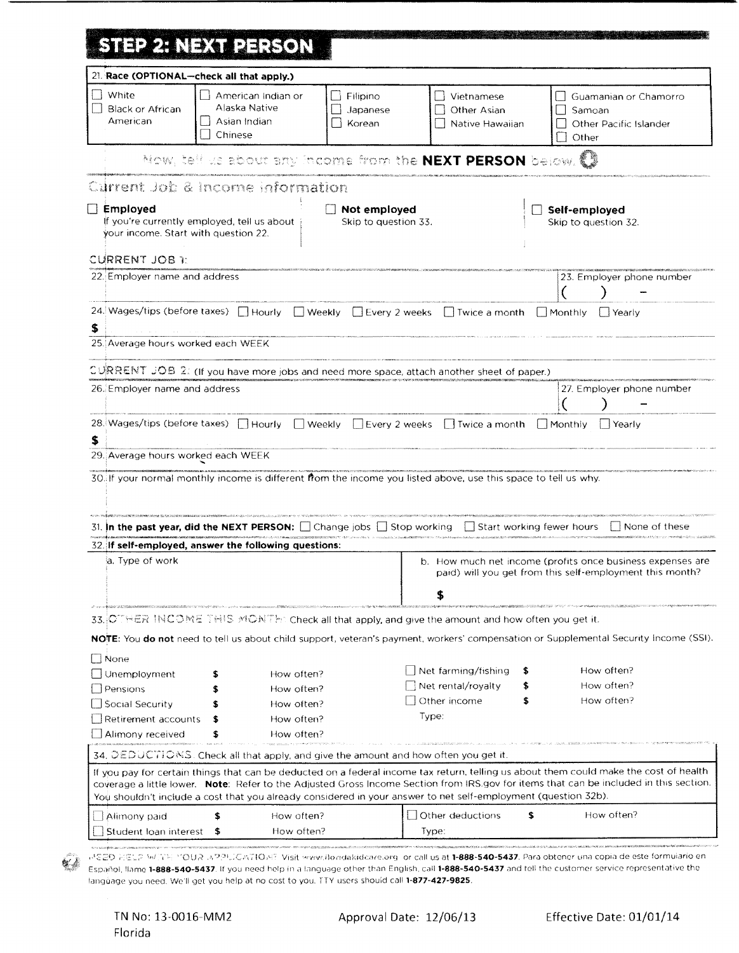|  |  |  | STEP 2: NEXT PERSON |
|--|--|--|---------------------|
|  |  |  |                     |
|  |  |  |                     |
|  |  |  |                     |
|  |  |  |                     |
|  |  |  |                     |
|  |  |  |                     |
|  |  |  |                     |
|  |  |  |                     |
|  |  |  |                     |

| 21. Race (OPTIONAL-check all that apply.)               |                                                                                                                 |                                                                                                                |                                                  |                               |                                                                                                                                                                                                                                                                                  |
|---------------------------------------------------------|-----------------------------------------------------------------------------------------------------------------|----------------------------------------------------------------------------------------------------------------|--------------------------------------------------|-------------------------------|----------------------------------------------------------------------------------------------------------------------------------------------------------------------------------------------------------------------------------------------------------------------------------|
| White<br>Black or African<br>American                   | → American Indian or<br>Alaska Native<br>    Asian Indian<br>Chinese                                            | $\Box$ Filipino<br>Japanese<br>Korean                                                                          | l i Vietnamese<br>Other Asian<br>Native Hawaiian |                               | Guamanian or Chamorro<br>Samoan<br>Other Pacific Islander<br>Other                                                                                                                                                                                                               |
|                                                         | Now, tell us about any income from the <b>NEXT PERSON</b> below. $\mathbb{C}\mathbb{R}$                         |                                                                                                                |                                                  |                               |                                                                                                                                                                                                                                                                                  |
|                                                         | Current Job & Income information                                                                                |                                                                                                                |                                                  |                               |                                                                                                                                                                                                                                                                                  |
| $\Box$ Employed<br>your income. Start with question 22. | If you're currently employed, tell us about                                                                     | $\Box$ Not employed<br>Skip to question 33.                                                                    |                                                  |                               | Self-employed<br>Skip to question 32.                                                                                                                                                                                                                                            |
| CURRENT JOB 1:                                          |                                                                                                                 |                                                                                                                |                                                  |                               |                                                                                                                                                                                                                                                                                  |
| 22. Employer name and address                           |                                                                                                                 |                                                                                                                |                                                  |                               | 23. Employer phone number                                                                                                                                                                                                                                                        |
| \$                                                      | 24. Wages/tips (before taxes) I Hourly I Weekly I Every 2 weeks I Twice a month I Monthly I Yearly              |                                                                                                                |                                                  |                               |                                                                                                                                                                                                                                                                                  |
| 25. Average hours worked each WEEK                      |                                                                                                                 |                                                                                                                |                                                  |                               |                                                                                                                                                                                                                                                                                  |
|                                                         | CURRENT JOB 2: (If you have more jobs and need more space, attach another sheet of paper.)                      |                                                                                                                |                                                  |                               |                                                                                                                                                                                                                                                                                  |
| 26. Employer name and address                           |                                                                                                                 |                                                                                                                |                                                  |                               | 27. Employer phone number                                                                                                                                                                                                                                                        |
| \$                                                      | 28. Wages/tips (before taxes) I Hourly I Weekly I Every 2 weeks I Twice a month I Monthly I Yearly              |                                                                                                                |                                                  |                               |                                                                                                                                                                                                                                                                                  |
| 29. Average hours worked each WEEK                      |                                                                                                                 |                                                                                                                |                                                  |                               |                                                                                                                                                                                                                                                                                  |
|                                                         | 30. If your normal monthly income is different from the income you listed above, use this space to tell us why. | no o se comunicamente es restas en construir competito de entre comunicamente al construir en el comunicamente |                                                  |                               |                                                                                                                                                                                                                                                                                  |
|                                                         | 31. In the past year, did the NEXT PERSON: [Let Change jobs   Stop working                                      |                                                                                                                |                                                  | i I Start working fewer hours | L. I None of these                                                                                                                                                                                                                                                               |
|                                                         | 32. If self-employed, answer the following questions:                                                           |                                                                                                                |                                                  |                               |                                                                                                                                                                                                                                                                                  |
| ia. Type of work                                        |                                                                                                                 |                                                                                                                |                                                  |                               | b. How much net income (profits once business expenses are<br>paid) will you get from this self-employment this month?                                                                                                                                                           |
|                                                         | 33. OTHER INCOME THIS MONTH: Check all that apply, and give the amount and how often you get it.                |                                                                                                                |                                                  |                               |                                                                                                                                                                                                                                                                                  |
|                                                         |                                                                                                                 |                                                                                                                |                                                  |                               | NOTE: You do not need to tell us about child support, veteran's payment, workers' compensation or Supplemental Security Income (SSI).                                                                                                                                            |
| None                                                    |                                                                                                                 |                                                                                                                |                                                  |                               |                                                                                                                                                                                                                                                                                  |
| Unemployment                                            | How often?                                                                                                      |                                                                                                                | $\Box$ Net farming/fishing                       |                               | How often?                                                                                                                                                                                                                                                                       |
| Pensions                                                | How often?                                                                                                      |                                                                                                                | Net rental/royalty                               |                               | How often?                                                                                                                                                                                                                                                                       |
| Social Security                                         | How often?                                                                                                      |                                                                                                                | Other income                                     | s                             | How often?                                                                                                                                                                                                                                                                       |
| Retirement accounts                                     | How often?                                                                                                      |                                                                                                                | Type:                                            |                               |                                                                                                                                                                                                                                                                                  |
| Alimony received                                        | How often?                                                                                                      |                                                                                                                |                                                  |                               |                                                                                                                                                                                                                                                                                  |
|                                                         | 34, $\Diamond E$ DUCTIONS. Check all that apply, and give the amount and how often you get it.                  |                                                                                                                |                                                  |                               |                                                                                                                                                                                                                                                                                  |
|                                                         | You shouldn't include a cost that you already considered in your answer to net self-employment (question 32b).  |                                                                                                                |                                                  |                               | If you pay for certain things that can be deducted on a federal income tax return, telling us about them could make the cost of health<br>coverage a little lower. Note: Refer to the Adjusted Gross Income Section from IRS.gov for items that can be included in this section. |
|                                                         |                                                                                                                 |                                                                                                                |                                                  |                               |                                                                                                                                                                                                                                                                                  |
| Alimony paid                                            | How often?<br>How often?                                                                                        |                                                                                                                | Other deductions<br>Type:                        | \$                            | How often?                                                                                                                                                                                                                                                                       |
| Student loan interest                                   |                                                                                                                 |                                                                                                                |                                                  |                               |                                                                                                                                                                                                                                                                                  |

 $\frac{1}{2}$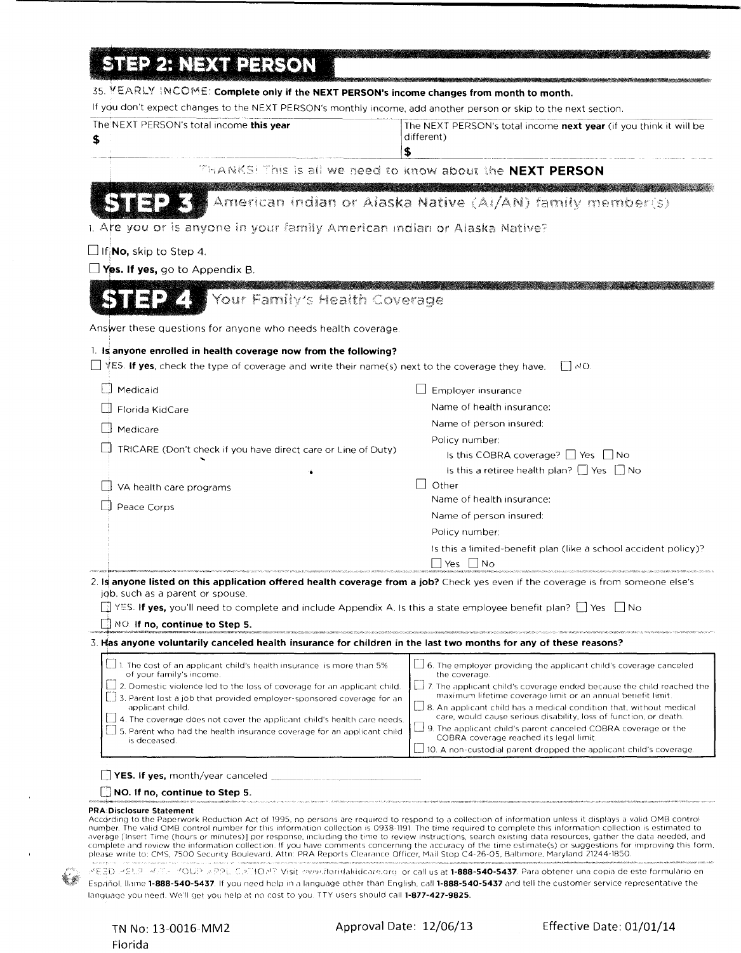|  |  |  |  | <b>STEP 2: NEXT PERSON</b> |
|--|--|--|--|----------------------------|
|  |  |  |  |                            |
|  |  |  |  |                            |

| If you don't expect changes to the NEXT PERSON's monthly income, add another person or skip to the next section.                                                                                                                                                                                                                                                                                                                                                                                                                                                                                                                                                                                                                                                                                                                         |                                                                                                                                                        |
|------------------------------------------------------------------------------------------------------------------------------------------------------------------------------------------------------------------------------------------------------------------------------------------------------------------------------------------------------------------------------------------------------------------------------------------------------------------------------------------------------------------------------------------------------------------------------------------------------------------------------------------------------------------------------------------------------------------------------------------------------------------------------------------------------------------------------------------|--------------------------------------------------------------------------------------------------------------------------------------------------------|
| The NEXT PERSON's total income this year<br>\$<br>\$                                                                                                                                                                                                                                                                                                                                                                                                                                                                                                                                                                                                                                                                                                                                                                                     | The NEXT PERSON's total income <b>next year</b> (if you think it will be<br>different)                                                                 |
| THANKS! This is all we need to know about the NEXT PERSON                                                                                                                                                                                                                                                                                                                                                                                                                                                                                                                                                                                                                                                                                                                                                                                |                                                                                                                                                        |
|                                                                                                                                                                                                                                                                                                                                                                                                                                                                                                                                                                                                                                                                                                                                                                                                                                          |                                                                                                                                                        |
|                                                                                                                                                                                                                                                                                                                                                                                                                                                                                                                                                                                                                                                                                                                                                                                                                                          | American indian or Alaska Native (Al/AN) family member(s)                                                                                              |
| 1. Are you or is anyone in your family American Indian or Alaska Native?                                                                                                                                                                                                                                                                                                                                                                                                                                                                                                                                                                                                                                                                                                                                                                 |                                                                                                                                                        |
| $\Box$ If <b>No,</b> skip to Step 4.                                                                                                                                                                                                                                                                                                                                                                                                                                                                                                                                                                                                                                                                                                                                                                                                     |                                                                                                                                                        |
| $\Box$ Yes. If yes, go to Appendix B.                                                                                                                                                                                                                                                                                                                                                                                                                                                                                                                                                                                                                                                                                                                                                                                                    |                                                                                                                                                        |
| Your Family's Health Coverage                                                                                                                                                                                                                                                                                                                                                                                                                                                                                                                                                                                                                                                                                                                                                                                                            |                                                                                                                                                        |
| Answer these questions for anyone who needs health coverage.                                                                                                                                                                                                                                                                                                                                                                                                                                                                                                                                                                                                                                                                                                                                                                             |                                                                                                                                                        |
| 1. Is anyone enrolled in health coverage now from the following?                                                                                                                                                                                                                                                                                                                                                                                                                                                                                                                                                                                                                                                                                                                                                                         |                                                                                                                                                        |
| $\Box$ ¥ES. If yes, check the type of coverage and write their name(s) next to the coverage they have.                                                                                                                                                                                                                                                                                                                                                                                                                                                                                                                                                                                                                                                                                                                                   | $\vert \ \vert$ MO.                                                                                                                                    |
| Medicaid                                                                                                                                                                                                                                                                                                                                                                                                                                                                                                                                                                                                                                                                                                                                                                                                                                 | Employer insurance                                                                                                                                     |
| Florida KidCare                                                                                                                                                                                                                                                                                                                                                                                                                                                                                                                                                                                                                                                                                                                                                                                                                          | Name of health insurance:                                                                                                                              |
| Medicare                                                                                                                                                                                                                                                                                                                                                                                                                                                                                                                                                                                                                                                                                                                                                                                                                                 | Name of person insured:                                                                                                                                |
| TRICARE (Don't check if you have direct care or Line of Duty)                                                                                                                                                                                                                                                                                                                                                                                                                                                                                                                                                                                                                                                                                                                                                                            | Policy number:                                                                                                                                         |
|                                                                                                                                                                                                                                                                                                                                                                                                                                                                                                                                                                                                                                                                                                                                                                                                                                          | Is this COBRA coverage? $\Box$ Yes $\Box$ No<br>Is this a retiree health plan? $\Box$ Yes $\Box$ No                                                    |
| VA health care programs                                                                                                                                                                                                                                                                                                                                                                                                                                                                                                                                                                                                                                                                                                                                                                                                                  | Other                                                                                                                                                  |
| Peace Corps                                                                                                                                                                                                                                                                                                                                                                                                                                                                                                                                                                                                                                                                                                                                                                                                                              | Name of health insurance:                                                                                                                              |
|                                                                                                                                                                                                                                                                                                                                                                                                                                                                                                                                                                                                                                                                                                                                                                                                                                          | Name of person insured:                                                                                                                                |
|                                                                                                                                                                                                                                                                                                                                                                                                                                                                                                                                                                                                                                                                                                                                                                                                                                          | Policy number:<br>Is this a limited-benefit plan (like a school accident policy)?                                                                      |
|                                                                                                                                                                                                                                                                                                                                                                                                                                                                                                                                                                                                                                                                                                                                                                                                                                          | $\Box$ Yes $\Box$ No                                                                                                                                   |
| 2. Is anyone listed on this application offered health coverage from a job? Check yes even if the coverage is from someone else's                                                                                                                                                                                                                                                                                                                                                                                                                                                                                                                                                                                                                                                                                                        |                                                                                                                                                        |
| job, such as a parent or spouse.<br>S. If yes, you'll need to complete and include Appendix A. Is this a state employee benefit plan? $\Box$ Yes $\Box$ No                                                                                                                                                                                                                                                                                                                                                                                                                                                                                                                                                                                                                                                                               |                                                                                                                                                        |
| $\parallel$ MO. If no, continue to Step 5.                                                                                                                                                                                                                                                                                                                                                                                                                                                                                                                                                                                                                                                                                                                                                                                               |                                                                                                                                                        |
| 3. Has anyone voluntarily canceled health insurance for children in the last two months for any of these reasons?                                                                                                                                                                                                                                                                                                                                                                                                                                                                                                                                                                                                                                                                                                                        |                                                                                                                                                        |
| 1. The cost of an applicant child's health insurance is more than 5%                                                                                                                                                                                                                                                                                                                                                                                                                                                                                                                                                                                                                                                                                                                                                                     | $\Box$ 6. The employer providing the applicant child's coverage canceled                                                                               |
| of your family's income.<br>2. Domestic violence led to the loss of coverage for an applicant child.                                                                                                                                                                                                                                                                                                                                                                                                                                                                                                                                                                                                                                                                                                                                     | the coverage.<br>7. The applicant child's coverage ended because the child reached the                                                                 |
| 3. Parent lost a job that provided employer-sponsored coverage for an<br>applicant child.                                                                                                                                                                                                                                                                                                                                                                                                                                                                                                                                                                                                                                                                                                                                                | maximum lifetime coverage limit or an annual benefit limit.<br>$\Box$ 8. An applicant child has a medical condition that, without medical              |
| 4. The coverage does not cover the applicant child's health care needs.                                                                                                                                                                                                                                                                                                                                                                                                                                                                                                                                                                                                                                                                                                                                                                  | care, would cause serious disability, loss of function, or death.                                                                                      |
| 5. Parent who had the health insurance coverage for an applicant child<br>is deceased.                                                                                                                                                                                                                                                                                                                                                                                                                                                                                                                                                                                                                                                                                                                                                   | $\Box$ 9. The applicant child's parent canceled COBRA coverage or the<br>COBRA coverage reached its legal limit.                                       |
|                                                                                                                                                                                                                                                                                                                                                                                                                                                                                                                                                                                                                                                                                                                                                                                                                                          | $\Box$ 10. A non-custodial parent dropped the applicant child's coverage.                                                                              |
| $\Box$ YES. If yes, month/year canceled $\Box$ and $\Box$ and $\Box$                                                                                                                                                                                                                                                                                                                                                                                                                                                                                                                                                                                                                                                                                                                                                                     |                                                                                                                                                        |
| NO. If no, continue to Step 5.                                                                                                                                                                                                                                                                                                                                                                                                                                                                                                                                                                                                                                                                                                                                                                                                           |                                                                                                                                                        |
| <b>PRA:Disclosure Statement</b><br>According to the Paperwork Reduction Act of 1995, no persons are required to respond to a collection of information unless it displays a valid OMB control<br>number. The valid OMB control number for this information collection is 0938-1191. The time required to complete this information collection is estimated to<br>average [insert Time (hours or minutes)] per response, including the time to review instructions, search existing data resources, gather the data needed, and<br>complete and review the information collection. If you have comments concerning the accuracy of the time estimate(s) or suggestions for improving this form<br>please write to: CMS, 7500 Security Boulevard, Attn: PRA Reports Clearance Officer, Mail Stop C4-26-05, Baltimore, Maryland 21244-1850. |                                                                                                                                                        |
| 러운품D 매운토인 해공과 같 <mark>O</mark> UP 계약으로 CIXTION? Visit envise.floridakidcare.org or call us at <b>1-888-540-5437</b> . Para obtener una copia de este formulario en                                                                                                                                                                                                                                                                                                                                                                                                                                                                                                                                                                                                                                                                       |                                                                                                                                                        |
|                                                                                                                                                                                                                                                                                                                                                                                                                                                                                                                                                                                                                                                                                                                                                                                                                                          | Español, llame 1-888-540-5437. If you need help in a language other than English, call 1-888-540-5437 and tell the customer service representative the |

<u> Kabupatèn Sabadaran Suma Barat, Indonesia Kabupatèn Bandaran Suma Barat, Indonesia Barat, Indonesia Barat, In</u>

 $\bar{\mathbf{r}}$ 

 $\begin{picture}(20,20) \put(0,0){\vector(1,0){10}} \put(15,0){\vector(1,0){10}} \put(15,0){\vector(1,0){10}} \put(15,0){\vector(1,0){10}} \put(15,0){\vector(1,0){10}} \put(15,0){\vector(1,0){10}} \put(15,0){\vector(1,0){10}} \put(15,0){\vector(1,0){10}} \put(15,0){\vector(1,0){10}} \put(15,0){\vector(1,0){10}} \put(15,0){\vector(1,0){10}} \put(15,0){\vector(1$ 

Approval Date: 12/06/13 Effective Date: 01/01/14